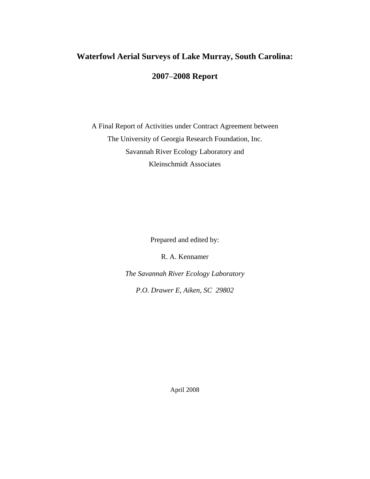# **Waterfowl Aerial Surveys of Lake Murray, South Carolina: 2007**–**2008 Report**

A Final Report of Activities under Contract Agreement between The University of Georgia Research Foundation, Inc. Savannah River Ecology Laboratory and Kleinschmidt Associates

Prepared and edited by:

R. A. Kennamer

*The Savannah River Ecology Laboratory* 

*P.O. Drawer E, Aiken, SC 29802*

April 2008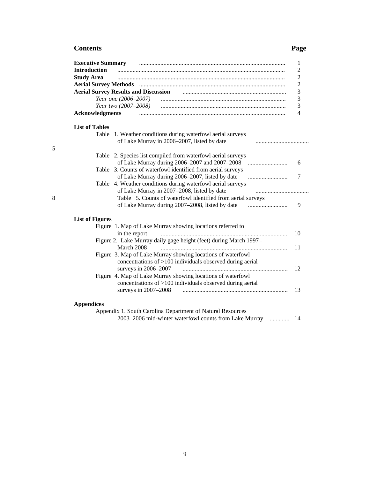## **Contents Page**

| <b>Executive Summary</b> |                                                                                                |     |
|--------------------------|------------------------------------------------------------------------------------------------|-----|
| <b>Introduction</b>      |                                                                                                |     |
| <b>Study Area</b>        |                                                                                                |     |
|                          |                                                                                                |     |
|                          |                                                                                                |     |
|                          |                                                                                                |     |
|                          | Year two (2007–2008)                                                                           |     |
| <b>Acknowledgments</b>   |                                                                                                |     |
| <b>List of Tables</b>    |                                                                                                |     |
| Table                    | 1. Weather conditions during waterfowl aerial surveys                                          |     |
|                          | of Lake Murray in 2006–2007, listed by date                                                    |     |
|                          | Table 2. Species list compiled from waterfowl aerial surveys                                   |     |
|                          | of Lake Murray during 2006–2007 and 2007–2008                                                  |     |
|                          | Table 3. Counts of waterfowl identified from aerial surveys                                    |     |
|                          | of Lake Murray during 2006–2007, listed by date<br>$\ldots \ldots \ldots \ldots \ldots \ldots$ |     |
|                          | Table 4. Weather conditions during waterfowl aerial surveys                                    |     |
|                          | of Lake Murray in 2007-2008, listed by date<br>                                                |     |
|                          | Table 5. Counts of waterfowl identified from aerial surveys                                    |     |
|                          | of Lake Murray during 2007-2008, listed by date                                                |     |
| <b>List of Figures</b>   |                                                                                                |     |
|                          | Figure 1. Map of Lake Murray showing locations referred to                                     |     |
|                          | in the report                                                                                  | 10  |
|                          | Figure 2. Lake Murray daily gage height (feet) during March 1997-                              |     |
|                          | March 2008                                                                                     | 11  |
|                          | Figure 3. Map of Lake Murray showing locations of waterfowl                                    |     |
|                          | concentrations of $>100$ individuals observed during aerial                                    |     |
|                          | surveys in 2006-2007                                                                           | 12  |
|                          | Figure 4. Map of Lake Murray showing locations of waterfowl                                    |     |
|                          | concentrations of >100 individuals observed during aerial<br>surveys in $2007-2008$            | 13  |
| <b>Appendices</b>        |                                                                                                |     |
|                          | Appendix 1. South Carolina Department of Natural Resources                                     |     |
|                          | 2003–2006 mid-winter waterfowl counts from Lake Murray                                         | -14 |

5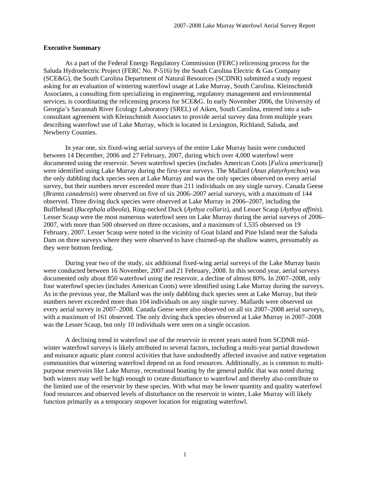#### **Executive Summary**

As a part of the Federal Energy Regulatory Commission (FERC) relicensing process for the Saluda Hydroelectric Project (FERC No. P-516) by the South Carolina Electric & Gas Company (SCE&G), the South Carolina Department of Natural Resources (SCDNR) submitted a study request asking for an evaluation of wintering waterfowl usage at Lake Murray, South Carolina. Kleinschmidt Associates, a consulting firm specializing in engineering, regulatory management and environmental services, is coordinating the relicensing process for SCE&G. In early November 2006, the University of Georgia's Savannah River Ecology Laboratory (SREL) of Aiken, South Carolina, entered into a subconsultant agreement with Kleinschmidt Associates to provide aerial survey data from multiple years describing waterfowl use of Lake Murray, which is located in Lexington, Richland, Saluda, and Newberry Counties.

 In year one, six fixed-wing aerial surveys of the entire Lake Murray basin were conducted between 14 December, 2006 and 27 February, 2007, during which over 4,000 waterfowl were documented using the reservoir. Seven waterfowl species (includes American Coots [*Fulica americana*]) were identified using Lake Murray during the first-year surveys. The Mallard (*Anas platyrhynchos*) was the only dabbling duck species seen at Lake Murray and was the only species observed on every aerial survey, but their numbers never exceeded more than 211 individuals on any single survey. Canada Geese (*Branta canadensis*) were observed on five of six 2006–2007 aerial surveys, with a maximum of 144 observed. Three diving duck species were observed at Lake Murray in 2006–2007, including the Bufflehead (*Bucephala albeola*), Ring-necked Duck (*Aythya collaris*), and Lesser Scaup (*Aythya affinis*). Lesser Scaup were the most numerous waterfowl seen on Lake Murray during the aerial surveys of 2006– 2007, with more than 500 observed on three occasions, and a maximum of 1,535 observed on 19 February, 2007. Lesser Scaup were noted in the vicinity of Goat Island and Pine Island near the Saluda Dam on three surveys where they were observed to have churned-up the shallow waters, presumably as they were bottom feeding.

 During year two of the study, six additional fixed-wing aerial surveys of the Lake Murray basin were conducted between 16 November, 2007 and 21 February, 2008. In this second year, aerial surveys documented only about 850 waterfowl using the reservoir, a decline of almost 80%. In 2007–2008, only four waterfowl species (includes American Coots) were identified using Lake Murray during the surveys. As in the previous year, the Mallard was the only dabbling duck species seen at Lake Murray, but their numbers never exceeded more than 104 individuals on any single survey. Mallards were observed on every aerial survey in 2007–2008. Canada Geese were also observed on all six 2007–2008 aerial surveys, with a maximum of 161 observed. The only diving duck species observed at Lake Murray in 2007–2008 was the Lesser Scaup, but only 10 individuals were seen on a single occasion.

 A declining trend in waterfowl use of the reservoir in recent years noted from SCDNR midwinter waterfowl surveys is likely attributed to several factors, including a multi-year partial drawdown and nuisance aquatic plant control activities that have undoubtedly affected invasive and native vegetation communities that wintering waterfowl depend on as food resources. Additionally, as is common to multipurpose reservoirs like Lake Murray, recreational boating by the general public that was noted during both winters may well be high enough to create disturbance to waterfowl and thereby also contribute to the limited use of the reservoir by these species. With what may be lower quantity and quality waterfowl food resources and observed levels of disturbance on the reservoir in winter, Lake Murray will likely function primarily as a temporary stopover location for migrating waterfowl.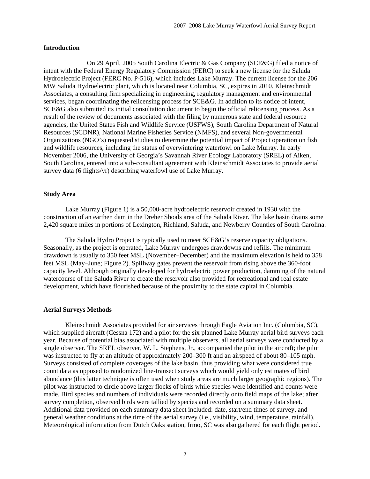#### **Introduction**

 On 29 April, 2005 South Carolina Electric & Gas Company (SCE&G) filed a notice of intent with the Federal Energy Regulatory Commission (FERC) to seek a new license for the Saluda Hydroelectric Project (FERC No. P-516), which includes Lake Murray. The current license for the 206 MW Saluda Hydroelectric plant, which is located near Columbia, SC, expires in 2010. Kleinschmidt Associates, a consulting firm specializing in engineering, regulatory management and environmental services, began coordinating the relicensing process for SCE&G. In addition to its notice of intent, SCE&G also submitted its initial consultation document to begin the official relicensing process. As a result of the review of documents associated with the filing by numerous state and federal resource agencies, the United States Fish and Wildlife Service (USFWS), South Carolina Department of Natural Resources (SCDNR), National Marine Fisheries Service (NMFS), and several Non-governmental Organizations (NGO's) requested studies to determine the potential impact of Project operation on fish and wildlife resources, including the status of overwintering waterfowl on Lake Murray. In early November 2006, the University of Georgia's Savannah River Ecology Laboratory (SREL) of Aiken, South Carolina, entered into a sub-consultant agreement with Kleinschmidt Associates to provide aerial survey data (6 flights/yr) describing waterfowl use of Lake Murray.

### **Study Area**

 Lake Murray (Figure 1) is a 50,000-acre hydroelectric reservoir created in 1930 with the construction of an earthen dam in the Dreher Shoals area of the Saluda River. The lake basin drains some 2,420 square miles in portions of Lexington, Richland, Saluda, and Newberry Counties of South Carolina.

 The Saluda Hydro Project is typically used to meet SCE&G's reserve capacity obligations. Seasonally, as the project is operated, Lake Murray undergoes drawdowns and refills. The minimum drawdown is usually to 350 feet MSL (November–December) and the maximum elevation is held to 358 feet MSL (May–June; Figure 2). Spillway gates prevent the reservoir from rising above the 360-foot capacity level. Although originally developed for hydroelectric power production, damming of the natural watercourse of the Saluda River to create the reservoir also provided for recreational and real estate development, which have flourished because of the proximity to the state capital in Columbia.

#### **Aerial Surveys Methods**

 Kleinschmidt Associates provided for air services through Eagle Aviation Inc. (Columbia, SC), which supplied aircraft (Cessna 172) and a pilot for the six planned Lake Murray aerial bird surveys each year. Because of potential bias associated with multiple observers, all aerial surveys were conducted by a single observer. The SREL observer, W. L. Stephens, Jr., accompanied the pilot in the aircraft; the pilot was instructed to fly at an altitude of approximately 200–300 ft and an airspeed of about 80–105 mph. Surveys consisted of complete coverages of the lake basin, thus providing what were considered true count data as opposed to randomized line-transect surveys which would yield only estimates of bird abundance (this latter technique is often used when study areas are much larger geographic regions). The pilot was instructed to circle above larger flocks of birds while species were identified and counts were made. Bird species and numbers of individuals were recorded directly onto field maps of the lake; after survey completion, observed birds were tallied by species and recorded on a summary data sheet. Additional data provided on each summary data sheet included: date, start/end times of survey, and general weather conditions at the time of the aerial survey (i.e., visibility, wind, temperature, rainfall). Meteorological information from Dutch Oaks station, Irmo, SC was also gathered for each flight period.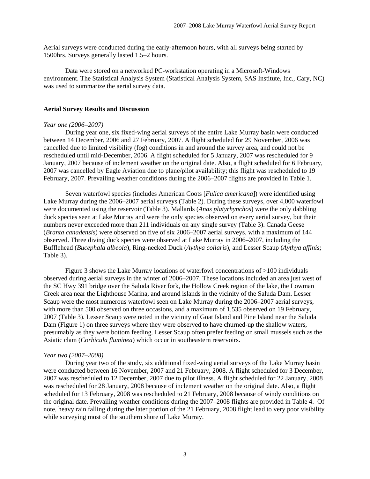Aerial surveys were conducted during the early-afternoon hours, with all surveys being started by 1500hrs. Surveys generally lasted 1.5–2 hours.

 Data were stored on a networked PC-workstation operating in a Microsoft-Windows environment. The Statistical Analysis System (Statistical Analysis System, SAS Institute, Inc., Cary, NC) was used to summarize the aerial survey data.

#### **Aerial Survey Results and Discussion**

#### *Year one (2006–2007)*

 During year one, six fixed-wing aerial surveys of the entire Lake Murray basin were conducted between 14 December, 2006 and 27 February, 2007. A flight scheduled for 29 November, 2006 was cancelled due to limited visibility (fog) conditions in and around the survey area, and could not be rescheduled until mid-December, 2006. A flight scheduled for 5 January, 2007 was rescheduled for 9 January, 2007 because of inclement weather on the original date. Also, a flight scheduled for 6 February, 2007 was cancelled by Eagle Aviation due to plane/pilot availability; this flight was rescheduled to 19 February, 2007. Prevailing weather conditions during the 2006–2007 flights are provided in Table 1.

 Seven waterfowl species (includes American Coots [*Fulica americana*]) were identified using Lake Murray during the 2006–2007 aerial surveys (Table 2). During these surveys, over 4,000 waterfowl were documented using the reservoir (Table 3). Mallards (*Anas platyrhynchos*) were the only dabbling duck species seen at Lake Murray and were the only species observed on every aerial survey, but their numbers never exceeded more than 211 individuals on any single survey (Table 3). Canada Geese (*Branta canadensis*) were observed on five of six 2006–2007 aerial surveys, with a maximum of 144 observed. Three diving duck species were observed at Lake Murray in 2006–2007, including the Bufflehead (*Bucephala albeola*), Ring-necked Duck (*Aythya collaris*), and Lesser Scaup (*Aythya affinis*; Table 3).

 Figure 3 shows the Lake Murray locations of waterfowl concentrations of >100 individuals observed during aerial surveys in the winter of 2006–2007. These locations included an area just west of the SC Hwy 391 bridge over the Saluda River fork, the Hollow Creek region of the lake, the Lowman Creek area near the Lighthouse Marina, and around islands in the vicinity of the Saluda Dam. Lesser Scaup were the most numerous waterfowl seen on Lake Murray during the 2006–2007 aerial surveys, with more than 500 observed on three occasions, and a maximum of 1,535 observed on 19 February, 2007 (Table 3). Lesser Scaup were noted in the vicinity of Goat Island and Pine Island near the Saluda Dam (Figure 1) on three surveys where they were observed to have churned-up the shallow waters, presumably as they were bottom feeding. Lesser Scaup often prefer feeding on small mussels such as the Asiatic clam (*Corbicula fluminea*) which occur in southeastern reservoirs.

#### *Year two (2007–2008)*

 During year two of the study, six additional fixed-wing aerial surveys of the Lake Murray basin were conducted between 16 November, 2007 and 21 February, 2008. A flight scheduled for 3 December, 2007 was rescheduled to 12 December, 2007 due to pilot illness. A flight scheduled for 22 January, 2008 was rescheduled for 28 January, 2008 because of inclement weather on the original date. Also, a flight scheduled for 13 February, 2008 was rescheduled to 21 February, 2008 because of windy conditions on the original date. Prevailing weather conditions during the 2007–2008 flights are provided in Table 4. Of note, heavy rain falling during the later portion of the 21 February, 2008 flight lead to very poor visibility while surveying most of the southern shore of Lake Murray.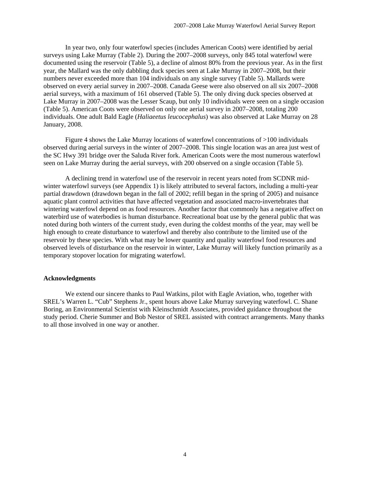In year two, only four waterfowl species (includes American Coots) were identified by aerial surveys using Lake Murray (Table 2). During the 2007–2008 surveys, only 845 total waterfowl were documented using the reservoir (Table 5), a decline of almost 80% from the previous year. As in the first year, the Mallard was the only dabbling duck species seen at Lake Murray in 2007–2008, but their numbers never exceeded more than 104 individuals on any single survey (Table 5). Mallards were observed on every aerial survey in 2007–2008. Canada Geese were also observed on all six 2007–2008 aerial surveys, with a maximum of 161 observed (Table 5). The only diving duck species observed at Lake Murray in 2007–2008 was the Lesser Scaup, but only 10 individuals were seen on a single occasion (Table 5). American Coots were observed on only one aerial survey in 2007–2008, totaling 200 individuals. One adult Bald Eagle (*Haliaeetus leucocephalus*) was also observed at Lake Murray on 28 January, 2008.

 Figure 4 shows the Lake Murray locations of waterfowl concentrations of >100 individuals observed during aerial surveys in the winter of 2007–2008. This single location was an area just west of the SC Hwy 391 bridge over the Saluda River fork. American Coots were the most numerous waterfowl seen on Lake Murray during the aerial surveys, with 200 observed on a single occasion (Table 5).

 A declining trend in waterfowl use of the reservoir in recent years noted from SCDNR midwinter waterfowl surveys (see Appendix 1) is likely attributed to several factors, including a multi-year partial drawdown (drawdown began in the fall of 2002; refill began in the spring of 2005) and nuisance aquatic plant control activities that have affected vegetation and associated macro-invertebrates that wintering waterfowl depend on as food resources. Another factor that commonly has a negative affect on waterbird use of waterbodies is human disturbance. Recreational boat use by the general public that was noted during both winters of the current study, even during the coldest months of the year, may well be high enough to create disturbance to waterfowl and thereby also contribute to the limited use of the reservoir by these species. With what may be lower quantity and quality waterfowl food resources and observed levels of disturbance on the reservoir in winter, Lake Murray will likely function primarily as a temporary stopover location for migrating waterfowl.

#### **Acknowledgments**

 We extend our sincere thanks to Paul Watkins, pilot with Eagle Aviation, who, together with SREL's Warren L. "Cub" Stephens Jr., spent hours above Lake Murray surveying waterfowl. C. Shane Boring, an Environmental Scientist with Kleinschmidt Associates, provided guidance throughout the study period. Cherie Summer and Bob Nestor of SREL assisted with contract arrangements. Many thanks to all those involved in one way or another.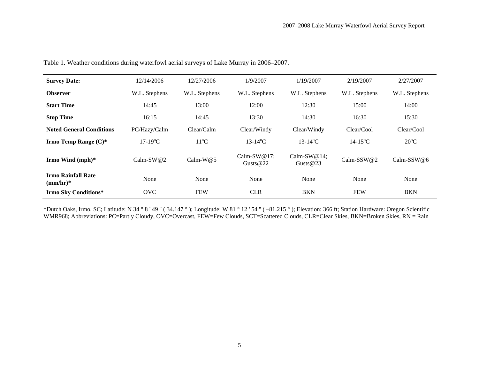| <b>Survey Date:</b>                     | 12/14/2006    | 12/27/2006     | 1/9/2007                      | 1/19/2007                     | 2/19/2007                | 2/27/2007      |
|-----------------------------------------|---------------|----------------|-------------------------------|-------------------------------|--------------------------|----------------|
| <b>Observer</b>                         | W.L. Stephens | W.L. Stephens  | W.L. Stephens                 | W.L. Stephens                 | W.L. Stephens            | W.L. Stephens  |
| <b>Start Time</b>                       | 14:45         | 13:00          | 12:00                         | 12:30                         | 15:00                    | 14:00          |
| <b>Stop Time</b>                        | 16:15         | 14:45          | 13:30                         | 14:30                         | 16:30                    | 15:30          |
| <b>Noted General Conditions</b>         | PC/Hazy/Calm  | Clear/Calm     | Clear/Windy                   | Clear/Windy                   | Clear/Cool               | Clear/Cool     |
| Irmo Temp Range $(C)^*$                 | $17-19$ °C    | $11^{\circ}$ C | $13 - 14$ <sup>o</sup> C      | $13 - 14$ <sup>o</sup> C      | $14 - 15$ <sup>o</sup> C | $20^{\circ}$ C |
| Irmo Wind (mph)*                        | Calm-SW $@2$  | Calm-W $@5$    | Calm-SW $@17;$<br>Gusts $@22$ | Calm-SW $@14;$<br>Gusts $@23$ | Calm-SSW $@2$            | $Calm-SSW@6$   |
| <b>Irmo Rainfall Rate</b><br>$(mm/hr)*$ | None          | None           | None                          | None                          | None                     | None           |
| <b>Irmo Sky Conditions*</b>             | <b>OVC</b>    | <b>FEW</b>     | <b>CLR</b>                    | <b>BKN</b>                    | <b>FEW</b>               | <b>BKN</b>     |

Table 1. Weather conditions during waterfowl aerial surveys of Lake Murray in 2006–2007.

\*Dutch Oaks, Irmo, SC; Latitude: N 34 ° 8 ' 49 '' ( 34.147 ° ); Longitude: W 81 ° 12 ' 54 '' ( –81.215 ° ); Elevation: 366 ft; Station Hardware: Oregon Scientific WMR968; Abbreviations: PC=Partly Cloudy, OVC=Overcast, FEW=Few Clouds, SCT=Scattered Clouds, CLR=Clear Skies, BKN=Broken Skies, RN = Rain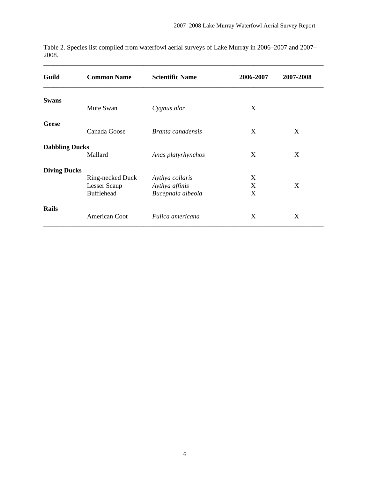| Guild                 | <b>Common Name</b> | <b>Scientific Name</b> | 2006-2007 | 2007-2008 |  |
|-----------------------|--------------------|------------------------|-----------|-----------|--|
| <b>Swans</b>          |                    |                        |           |           |  |
|                       | Mute Swan          | Cygnus olor            | X         |           |  |
| Geese                 |                    |                        |           |           |  |
|                       | Canada Goose       | Branta canadensis      | X         | X         |  |
| <b>Dabbling Ducks</b> |                    |                        |           |           |  |
|                       | Mallard            | Anas platyrhynchos     | X         | X         |  |
| <b>Diving Ducks</b>   |                    |                        |           |           |  |
|                       | Ring-necked Duck   | Aythya collaris        | X         |           |  |
|                       | Lesser Scaup       | Aythya affinis         | X         | X         |  |
|                       | <b>Bufflehead</b>  | Bucephala albeola      | X         |           |  |
| <b>Rails</b>          |                    |                        |           |           |  |
|                       | American Coot      | Fulica americana       | X         | X         |  |

Table 2. Species list compiled from waterfowl aerial surveys of Lake Murray in 2006–2007 and 2007– 2008.

\_\_\_\_\_\_\_\_\_\_\_\_\_\_\_\_\_\_\_\_\_\_\_\_\_\_\_\_\_\_\_\_\_\_\_\_\_\_\_\_\_\_\_\_\_\_\_\_\_\_\_\_\_\_\_\_\_\_\_\_\_\_\_\_\_\_\_\_\_\_\_\_\_\_\_\_\_\_\_\_\_\_\_\_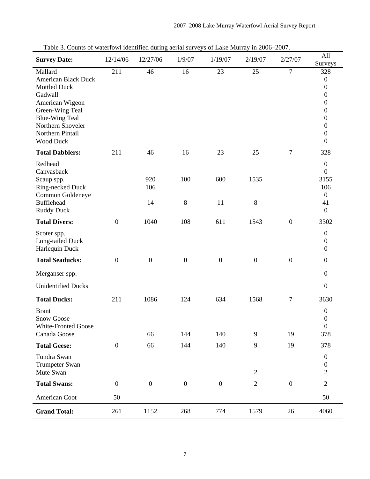| Table 5. Counts of waterfowl identified during action surveys of LaKe Murray in 2000–2007.<br><b>Survey Date:</b>                                                                                   | 12/14/06         | 12/27/06         | 1/9/07           | 1/19/07          | 2/19/07          | 2/27/07          | All<br>Surveys                                                                                                                                                                          |
|-----------------------------------------------------------------------------------------------------------------------------------------------------------------------------------------------------|------------------|------------------|------------------|------------------|------------------|------------------|-----------------------------------------------------------------------------------------------------------------------------------------------------------------------------------------|
| Mallard<br><b>American Black Duck</b><br><b>Mottled Duck</b><br>Gadwall<br>American Wigeon<br>Green-Wing Teal<br><b>Blue-Wing Teal</b><br>Northern Shoveler<br>Northern Pintail<br><b>Wood Duck</b> | 211              | 46               | 16               | 23               | 25               | $\overline{7}$   | 328<br>$\boldsymbol{0}$<br>$\boldsymbol{0}$<br>$\boldsymbol{0}$<br>$\boldsymbol{0}$<br>$\boldsymbol{0}$<br>$\boldsymbol{0}$<br>$\boldsymbol{0}$<br>$\boldsymbol{0}$<br>$\boldsymbol{0}$ |
| <b>Total Dabblers:</b>                                                                                                                                                                              | 211              | 46               | 16               | 23               | 25               | $\tau$           | 328                                                                                                                                                                                     |
| Redhead<br>Canvasback<br>Scaup spp.<br>Ring-necked Duck<br>Common Goldeneye<br><b>Bufflehead</b><br><b>Ruddy Duck</b>                                                                               |                  | 920<br>106<br>14 | 100<br>8         | 600<br>11        | 1535<br>$8\,$    |                  | $\boldsymbol{0}$<br>$\boldsymbol{0}$<br>3155<br>106<br>$\boldsymbol{0}$<br>41<br>$\boldsymbol{0}$                                                                                       |
| <b>Total Divers:</b>                                                                                                                                                                                | $\boldsymbol{0}$ | 1040             | 108              | 611              | 1543             | $\boldsymbol{0}$ | 3302                                                                                                                                                                                    |
| Scoter spp.<br>Long-tailed Duck<br>Harlequin Duck                                                                                                                                                   |                  |                  |                  |                  |                  |                  | $\boldsymbol{0}$<br>$\boldsymbol{0}$<br>$\boldsymbol{0}$                                                                                                                                |
| <b>Total Seaducks:</b>                                                                                                                                                                              | $\boldsymbol{0}$ | $\boldsymbol{0}$ | $\boldsymbol{0}$ | $\boldsymbol{0}$ | $\boldsymbol{0}$ | $\boldsymbol{0}$ | $\boldsymbol{0}$                                                                                                                                                                        |
| Merganser spp.                                                                                                                                                                                      |                  |                  |                  |                  |                  |                  | $\boldsymbol{0}$                                                                                                                                                                        |
| <b>Unidentified Ducks</b>                                                                                                                                                                           |                  |                  |                  |                  |                  |                  | $\boldsymbol{0}$                                                                                                                                                                        |
| <b>Total Ducks:</b>                                                                                                                                                                                 | 211              | 1086             | 124              | 634              | 1568             | $\boldsymbol{7}$ | 3630                                                                                                                                                                                    |
| <b>Brant</b><br><b>Snow Goose</b><br><b>White-Fronted Goose</b><br>Canada Goose                                                                                                                     |                  | 66               | 144              | 140              | 9                | 19               | $\boldsymbol{0}$<br>$\boldsymbol{0}$<br>$\overline{0}$<br>378                                                                                                                           |
| <b>Total Geese:</b>                                                                                                                                                                                 | $\boldsymbol{0}$ | 66               | 144              | 140              | 9                | 19               | 378                                                                                                                                                                                     |
| Tundra Swan<br>Trumpeter Swan<br>Mute Swan                                                                                                                                                          |                  |                  |                  |                  | $\mathfrak{2}$   |                  | $\boldsymbol{0}$<br>$\boldsymbol{0}$<br>$\overline{2}$                                                                                                                                  |
| <b>Total Swans:</b>                                                                                                                                                                                 | $\boldsymbol{0}$ | $\boldsymbol{0}$ | $\boldsymbol{0}$ | $\boldsymbol{0}$ | $\mathfrak{2}$   | $\boldsymbol{0}$ | $\sqrt{2}$                                                                                                                                                                              |
| American Coot                                                                                                                                                                                       | 50               |                  |                  |                  |                  |                  | 50                                                                                                                                                                                      |
| <b>Grand Total:</b>                                                                                                                                                                                 | 261              | 1152             | 268              | 774              | 1579             | 26               | 4060                                                                                                                                                                                    |

Table 3. Counts of waterfowl identified during aerial surveys of Lake Murray in 2006–2007.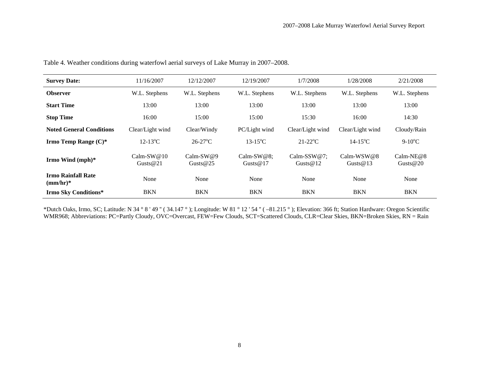| <b>Survey Date:</b>                     | 11/16/2007                   | 12/12/2007                 | 12/19/2007                   | 1/7/2008                   | 1/28/2008                    | 2/21/2008               |
|-----------------------------------------|------------------------------|----------------------------|------------------------------|----------------------------|------------------------------|-------------------------|
| <b>Observer</b>                         | W.L. Stephens                | W.L. Stephens              | W.L. Stephens                | W.L. Stephens              | W.L. Stephens                | W.L. Stephens           |
| <b>Start Time</b>                       | 13:00                        | 13:00                      | 13:00                        | 13:00                      | 13:00                        | 13:00                   |
| <b>Stop Time</b>                        | 16:00                        | 15:00                      | 15:00                        | 15:30                      | 16:00                        | 14:30                   |
| <b>Noted General Conditions</b>         | Clear/Light wind             | Clear/Windy                | PC/Light wind                | Clear/Light wind           | Clear/Light wind             | Cloudy/Rain             |
| Irmo Temp Range $(C)^*$                 | $12-13$ <sup>o</sup> C       | $26-27$ <sup>o</sup> C     | $13 - 15$ <sup>o</sup> C     |                            | $14 - 15$ <sup>o</sup> C     | $9-10^{\circ}$ C        |
| Irmo Wind (mph)*                        | Calm-SW $@10$<br>Gusts $@21$ | $Calm-SW@9$<br>Gusts $@25$ | Calm-SW $@8;$<br>Gusts $@17$ | Calm-SSW@7;<br>Gusts $@12$ | Calm-WSW $@8$<br>Gusts $@13$ | $Calm-NE@8$<br>Gusts@20 |
| <b>Irmo Rainfall Rate</b><br>$(mm/hr)*$ | None                         | None                       | None                         | None                       | None                         | None                    |
| <b>Irmo Sky Conditions*</b>             | <b>BKN</b>                   | <b>BKN</b>                 | <b>BKN</b>                   | <b>BKN</b>                 | <b>BKN</b>                   | <b>BKN</b>              |

Table 4. Weather conditions during waterfowl aerial surveys of Lake Murray in 2007–2008.

\*Dutch Oaks, Irmo, SC; Latitude: N 34 ° 8 ' 49 '' ( 34.147 ° ); Longitude: W 81 ° 12 ' 54 '' ( –81.215 ° ); Elevation: 366 ft; Station Hardware: Oregon Scientific WMR968; Abbreviations: PC=Partly Cloudy, OVC=Overcast, FEW=Few Clouds, SCT=Scattered Clouds, CLR=Clear Skies, BKN=Broken Skies, RN = Rain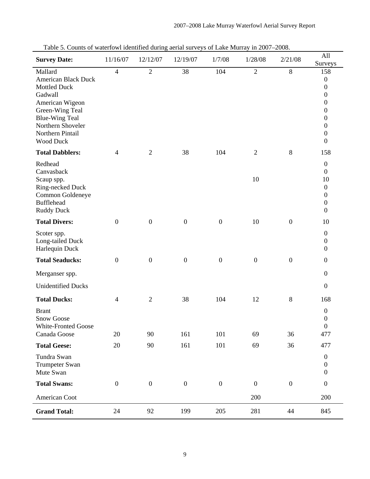| Table 5. Counts of waterfowl identified during action surveys of LaKe Multay in $2007-2008$ .<br><b>Survey Date:</b> | 11/16/07         | 12/12/07         | 12/19/07         | 1/7/08           | 1/28/08          | 2/21/08          | All                                  |
|----------------------------------------------------------------------------------------------------------------------|------------------|------------------|------------------|------------------|------------------|------------------|--------------------------------------|
| Mallard                                                                                                              | $\overline{4}$   | $\overline{2}$   | 38               | 104              | $\overline{2}$   | $8\,$            | Surveys<br>158                       |
| <b>American Black Duck</b>                                                                                           |                  |                  |                  |                  |                  |                  | $\boldsymbol{0}$                     |
| <b>Mottled Duck</b>                                                                                                  |                  |                  |                  |                  |                  |                  | $\boldsymbol{0}$                     |
| Gadwall                                                                                                              |                  |                  |                  |                  |                  |                  | $\boldsymbol{0}$                     |
| American Wigeon<br>Green-Wing Teal                                                                                   |                  |                  |                  |                  |                  |                  | $\boldsymbol{0}$<br>$\boldsymbol{0}$ |
| <b>Blue-Wing Teal</b>                                                                                                |                  |                  |                  |                  |                  |                  | $\boldsymbol{0}$                     |
| Northern Shoveler                                                                                                    |                  |                  |                  |                  |                  |                  | $\boldsymbol{0}$                     |
| Northern Pintail<br><b>Wood Duck</b>                                                                                 |                  |                  |                  |                  |                  |                  | $\boldsymbol{0}$<br>$\boldsymbol{0}$ |
| <b>Total Dabblers:</b>                                                                                               | 4                | $\mathfrak{2}$   | 38               | 104              | $\overline{2}$   | $8\,$            | 158                                  |
|                                                                                                                      |                  |                  |                  |                  |                  |                  |                                      |
| Redhead<br>Canvasback                                                                                                |                  |                  |                  |                  |                  |                  | $\boldsymbol{0}$<br>$\boldsymbol{0}$ |
| Scaup spp.                                                                                                           |                  |                  |                  |                  | 10               |                  | 10                                   |
| Ring-necked Duck                                                                                                     |                  |                  |                  |                  |                  |                  | $\boldsymbol{0}$                     |
| Common Goldeneye<br><b>Bufflehead</b>                                                                                |                  |                  |                  |                  |                  |                  | $\boldsymbol{0}$                     |
| <b>Ruddy Duck</b>                                                                                                    |                  |                  |                  |                  |                  |                  | $\boldsymbol{0}$<br>$\boldsymbol{0}$ |
| <b>Total Divers:</b>                                                                                                 | $\boldsymbol{0}$ | $\boldsymbol{0}$ | $\boldsymbol{0}$ | $\boldsymbol{0}$ | 10               | $\boldsymbol{0}$ | 10                                   |
| Scoter spp.                                                                                                          |                  |                  |                  |                  |                  |                  | $\boldsymbol{0}$                     |
| Long-tailed Duck                                                                                                     |                  |                  |                  |                  |                  |                  | $\boldsymbol{0}$                     |
| Harlequin Duck                                                                                                       |                  |                  |                  |                  |                  |                  | $\boldsymbol{0}$                     |
| <b>Total Seaducks:</b>                                                                                               | $\boldsymbol{0}$ | $\boldsymbol{0}$ | $\boldsymbol{0}$ | $\boldsymbol{0}$ | $\boldsymbol{0}$ | $\boldsymbol{0}$ | $\boldsymbol{0}$                     |
| Merganser spp.                                                                                                       |                  |                  |                  |                  |                  |                  | $\boldsymbol{0}$                     |
| <b>Unidentified Ducks</b>                                                                                            |                  |                  |                  |                  |                  |                  | $\boldsymbol{0}$                     |
| <b>Total Ducks:</b>                                                                                                  | $\overline{4}$   | $\mathfrak{2}$   | 38               | 104              | 12               | $\,8\,$          | 168                                  |
| <b>Brant</b>                                                                                                         |                  |                  |                  |                  |                  |                  | $\boldsymbol{0}$                     |
| <b>Snow Goose</b>                                                                                                    |                  |                  |                  |                  |                  |                  | $\boldsymbol{0}$<br>$\boldsymbol{0}$ |
| White-Fronted Goose<br>Canada Goose                                                                                  | 20               | 90               | 161              | 101              | 69               | 36               | 477                                  |
| <b>Total Geese:</b>                                                                                                  | 20               | 90               | 161              | 101              | 69               | 36               | 477                                  |
| Tundra Swan                                                                                                          |                  |                  |                  |                  |                  |                  | $\boldsymbol{0}$                     |
| Trumpeter Swan                                                                                                       |                  |                  |                  |                  |                  |                  | $\boldsymbol{0}$                     |
| Mute Swan                                                                                                            |                  |                  |                  |                  |                  |                  | $\boldsymbol{0}$                     |
| <b>Total Swans:</b>                                                                                                  | $\boldsymbol{0}$ | $\boldsymbol{0}$ | $\boldsymbol{0}$ | $\boldsymbol{0}$ | $\boldsymbol{0}$ | $\boldsymbol{0}$ | $\boldsymbol{0}$                     |
| American Coot                                                                                                        |                  |                  |                  |                  | 200              |                  | 200                                  |
| <b>Grand Total:</b>                                                                                                  | 24               | 92               | 199              | 205              | 281              | 44               | 845                                  |

Table 5. Counts of waterfowl identified during aerial surveys of Lake Murray in 2007–2008.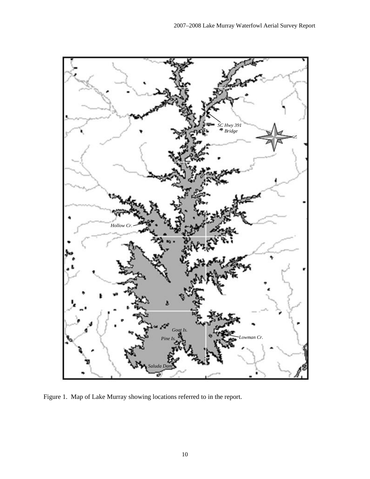

Figure 1. Map of Lake Murray showing locations referred to in the report.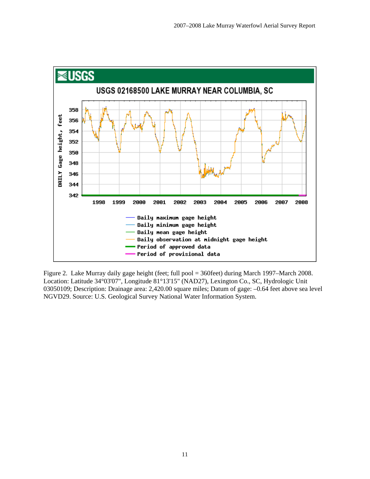

Figure 2. Lake Murray daily gage height (feet; full pool = 360feet) during March 1997–March 2008. Location: Latitude 34°03'07", Longitude 81°13'15" (NAD27), Lexington Co., SC, Hydrologic Unit 03050109; Description: Drainage area: 2,420.00 square miles; Datum of gage: –0.64 feet above sea level NGVD29. Source: U.S. Geological Survey National Water Information System.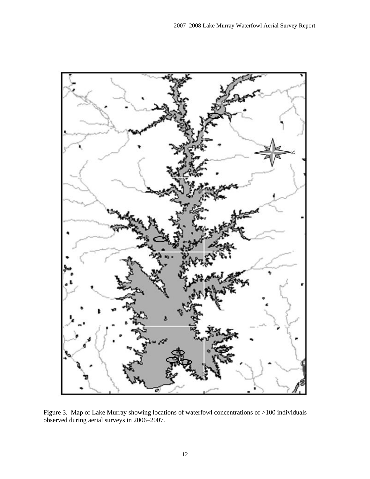

Figure 3. Map of Lake Murray showing locations of waterfowl concentrations of >100 individuals observed during aerial surveys in 2006–2007.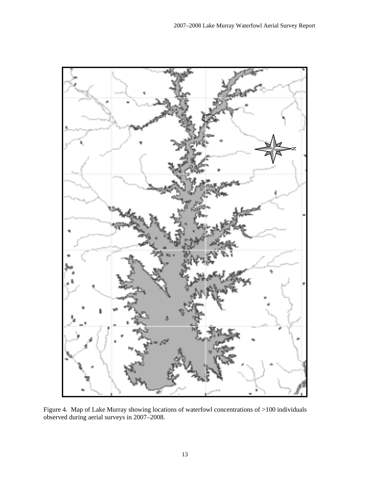

Figure 4. Map of Lake Murray showing locations of waterfowl concentrations of >100 individuals observed during aerial surveys in 2007–2008.